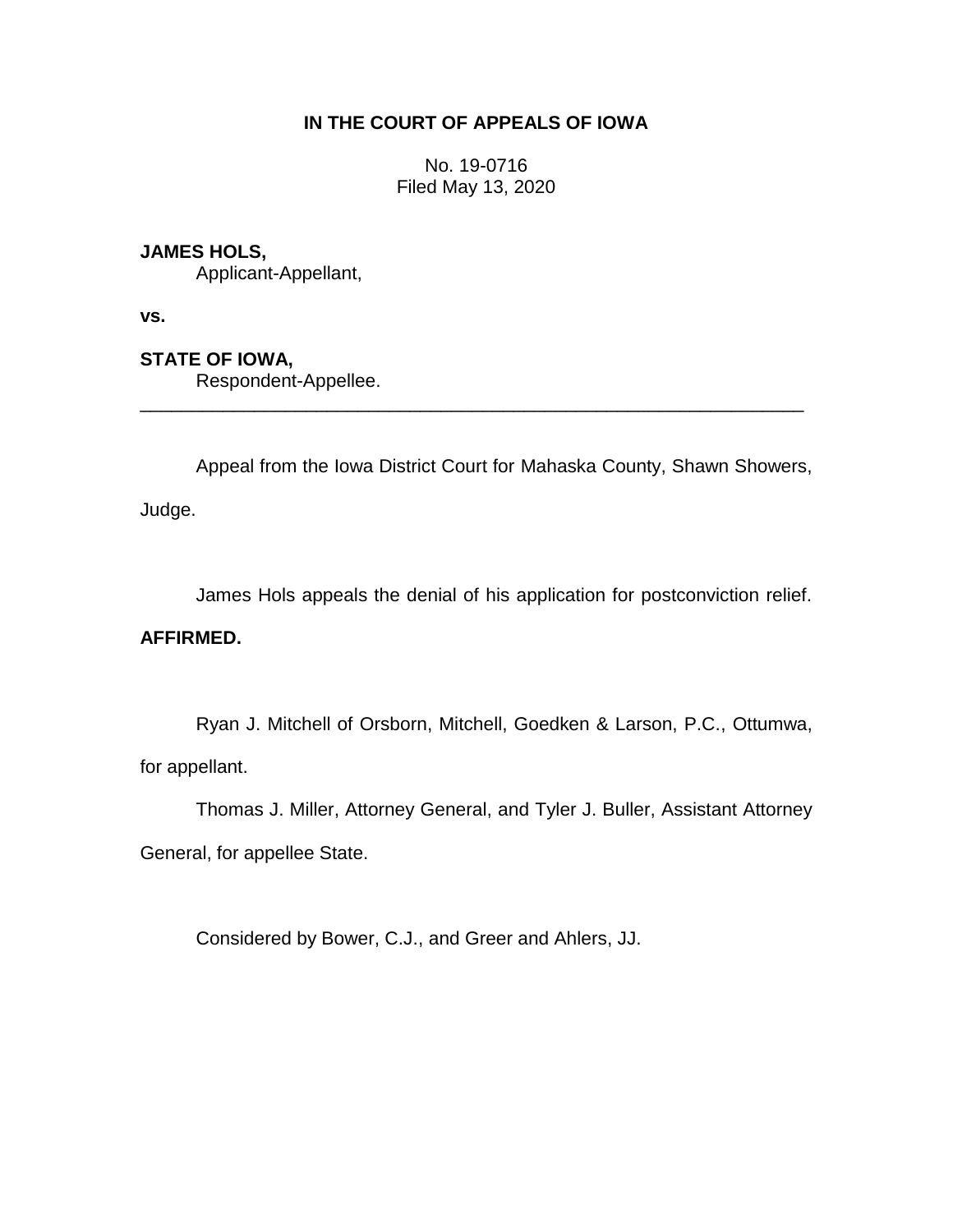# **IN THE COURT OF APPEALS OF IOWA**

No. 19-0716 Filed May 13, 2020

# **JAMES HOLS,**

Applicant-Appellant,

**vs.**

# **STATE OF IOWA,**

Respondent-Appellee.

Appeal from the Iowa District Court for Mahaska County, Shawn Showers,

\_\_\_\_\_\_\_\_\_\_\_\_\_\_\_\_\_\_\_\_\_\_\_\_\_\_\_\_\_\_\_\_\_\_\_\_\_\_\_\_\_\_\_\_\_\_\_\_\_\_\_\_\_\_\_\_\_\_\_\_\_\_\_\_

Judge.

James Hols appeals the denial of his application for postconviction relief.

## **AFFIRMED.**

Ryan J. Mitchell of Orsborn, Mitchell, Goedken & Larson, P.C., Ottumwa, for appellant.

Thomas J. Miller, Attorney General, and Tyler J. Buller, Assistant Attorney General, for appellee State.

Considered by Bower, C.J., and Greer and Ahlers, JJ.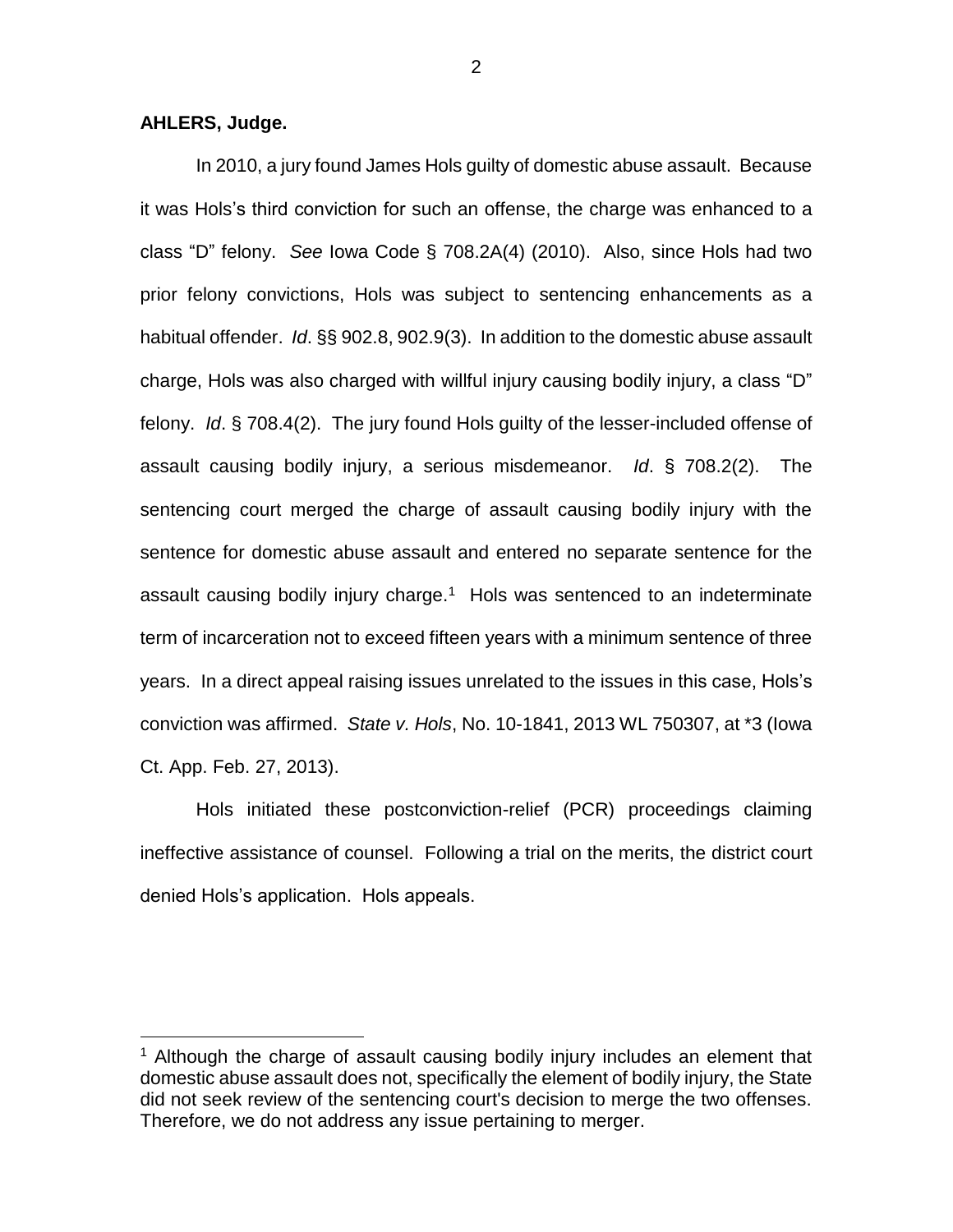## **AHLERS, Judge.**

 $\overline{a}$ 

In 2010, a jury found James Hols guilty of domestic abuse assault. Because it was Hols's third conviction for such an offense, the charge was enhanced to a class "D" felony. *See* Iowa Code § 708.2A(4) (2010). Also, since Hols had two prior felony convictions, Hols was subject to sentencing enhancements as a habitual offender. *Id*. §§ 902.8, 902.9(3). In addition to the domestic abuse assault charge, Hols was also charged with willful injury causing bodily injury, a class "D" felony. *Id*. § 708.4(2). The jury found Hols guilty of the lesser-included offense of assault causing bodily injury, a serious misdemeanor. *Id*. § 708.2(2). The sentencing court merged the charge of assault causing bodily injury with the sentence for domestic abuse assault and entered no separate sentence for the assault causing bodily injury charge.<sup>1</sup> Hols was sentenced to an indeterminate term of incarceration not to exceed fifteen years with a minimum sentence of three years. In a direct appeal raising issues unrelated to the issues in this case, Hols's conviction was affirmed. *State v. Hols*, No. 10-1841, 2013 WL 750307, at \*3 (Iowa Ct. App. Feb. 27, 2013).

Hols initiated these postconviction-relief (PCR) proceedings claiming ineffective assistance of counsel. Following a trial on the merits, the district court denied Hols's application. Hols appeals.

<sup>&</sup>lt;sup>1</sup> Although the charge of assault causing bodily injury includes an element that domestic abuse assault does not, specifically the element of bodily injury, the State did not seek review of the sentencing court's decision to merge the two offenses. Therefore, we do not address any issue pertaining to merger.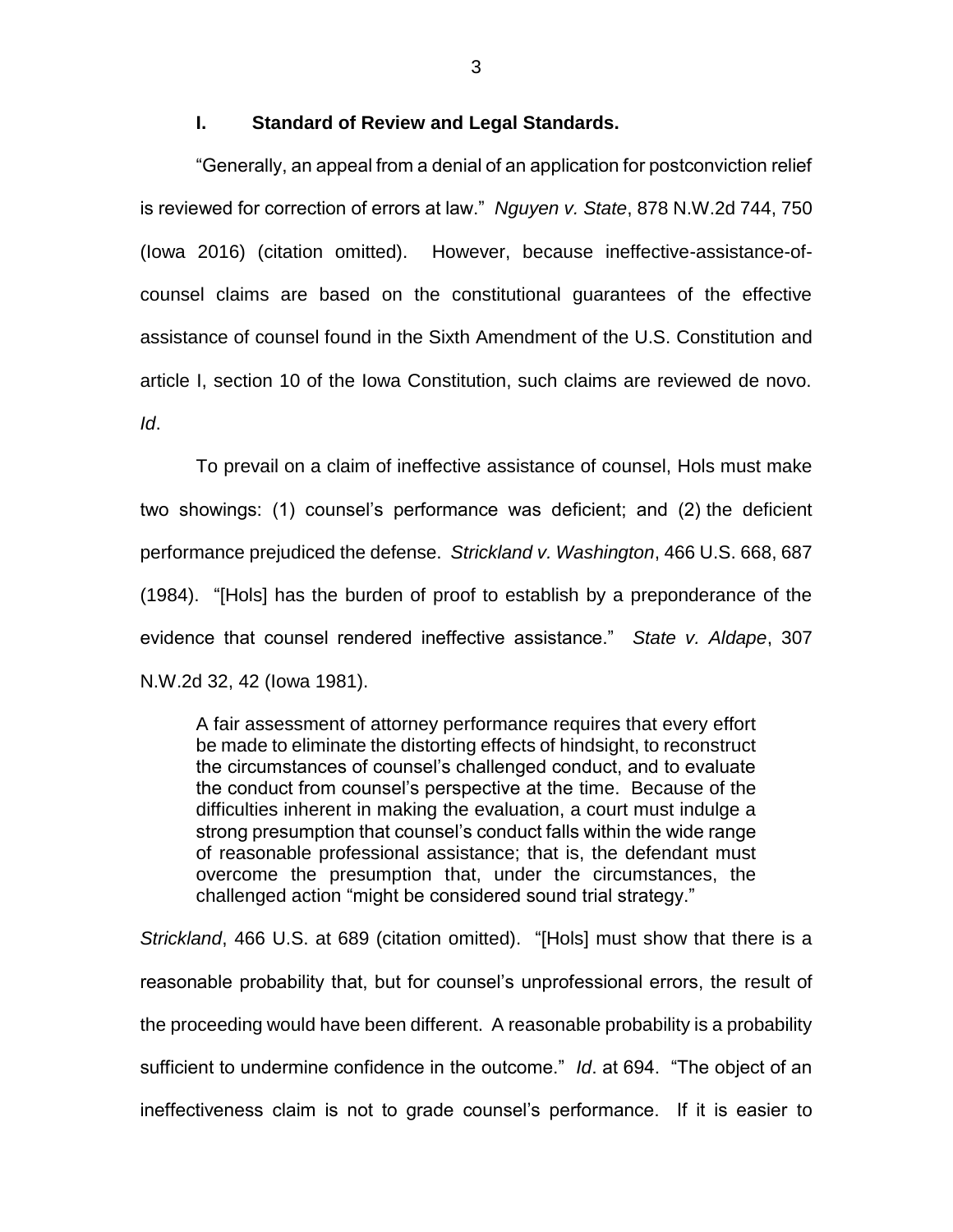### **I. Standard of Review and Legal Standards.**

"Generally, an appeal from a denial of an application for postconviction relief is reviewed for correction of errors at law." *Nguyen v. State*, 878 N.W.2d 744, 750 (Iowa 2016) (citation omitted). However, because ineffective-assistance-ofcounsel claims are based on the constitutional guarantees of the effective assistance of counsel found in the Sixth Amendment of the U.S. Constitution and article I, section 10 of the Iowa Constitution, such claims are reviewed de novo. *Id*.

To prevail on a claim of ineffective assistance of counsel, Hols must make two showings: (1) counsel's performance was deficient; and (2) the deficient performance prejudiced the defense. *Strickland v. Washington*, 466 U.S. 668, 687 (1984). "[Hols] has the burden of proof to establish by a preponderance of the evidence that counsel rendered ineffective assistance." *State v. Aldape*, 307 N.W.2d 32, 42 (Iowa 1981).

A fair assessment of attorney performance requires that every effort be made to eliminate the distorting effects of hindsight, to reconstruct the circumstances of counsel's challenged conduct, and to evaluate the conduct from counsel's perspective at the time. Because of the difficulties inherent in making the evaluation, a court must indulge a strong presumption that counsel's conduct falls within the wide range of reasonable professional assistance; that is, the defendant must overcome the presumption that, under the circumstances, the challenged action "might be considered sound trial strategy."

*Strickland*, 466 U.S. at 689 (citation omitted). "[Hols] must show that there is a reasonable probability that, but for counsel's unprofessional errors, the result of the proceeding would have been different. A reasonable probability is a probability sufficient to undermine confidence in the outcome." *Id*. at 694. "The object of an ineffectiveness claim is not to grade counsel's performance. If it is easier to

3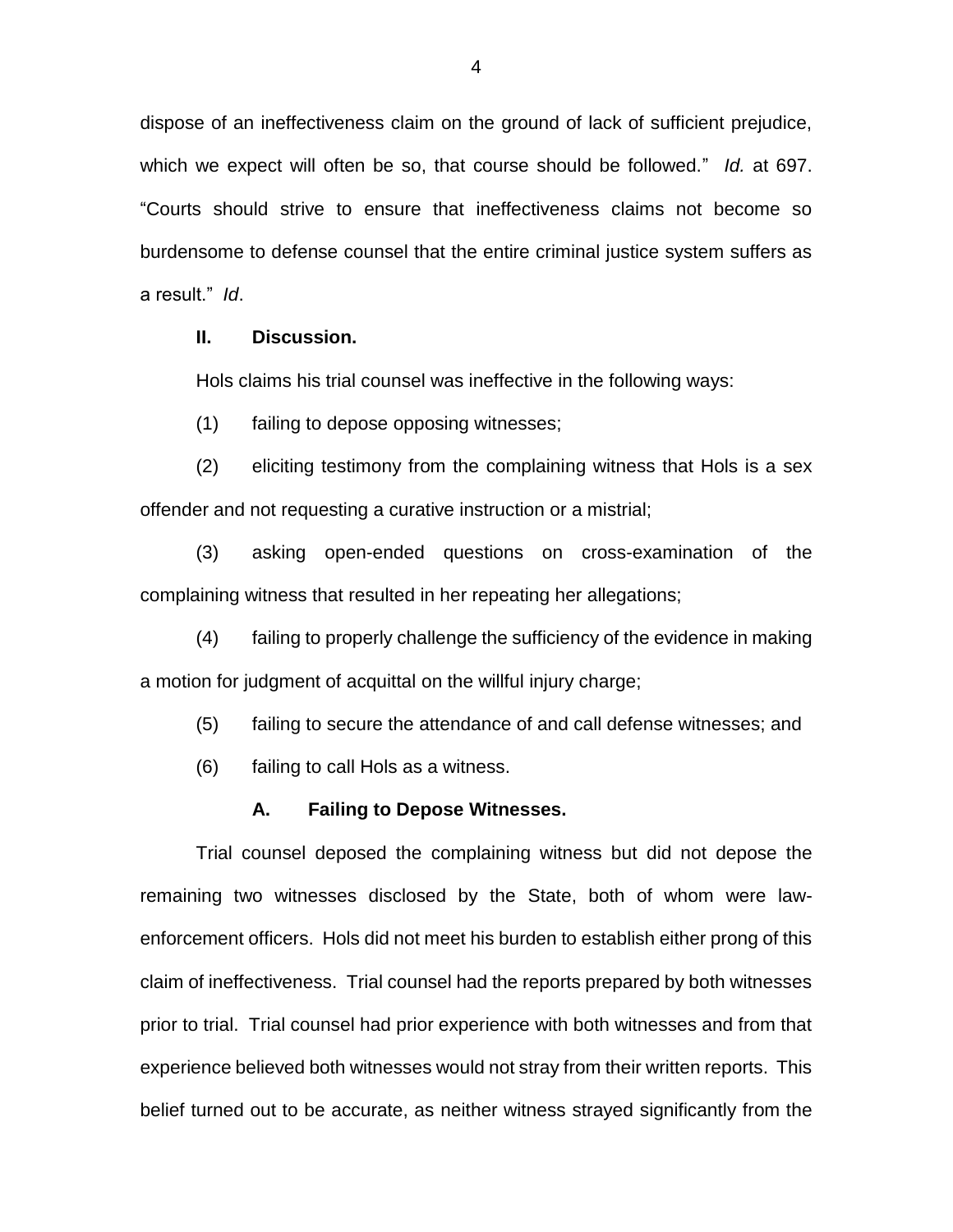dispose of an ineffectiveness claim on the ground of lack of sufficient prejudice, which we expect will often be so, that course should be followed." *Id.* at 697. "Courts should strive to ensure that ineffectiveness claims not become so burdensome to defense counsel that the entire criminal justice system suffers as a result." *Id*.

## **II. Discussion.**

Hols claims his trial counsel was ineffective in the following ways:

(1) failing to depose opposing witnesses;

(2) eliciting testimony from the complaining witness that Hols is a sex offender and not requesting a curative instruction or a mistrial;

(3) asking open-ended questions on cross-examination of the complaining witness that resulted in her repeating her allegations;

(4) failing to properly challenge the sufficiency of the evidence in making a motion for judgment of acquittal on the willful injury charge;

(5) failing to secure the attendance of and call defense witnesses; and

(6) failing to call Hols as a witness.

#### **A. Failing to Depose Witnesses.**

Trial counsel deposed the complaining witness but did not depose the remaining two witnesses disclosed by the State, both of whom were lawenforcement officers. Hols did not meet his burden to establish either prong of this claim of ineffectiveness. Trial counsel had the reports prepared by both witnesses prior to trial. Trial counsel had prior experience with both witnesses and from that experience believed both witnesses would not stray from their written reports. This belief turned out to be accurate, as neither witness strayed significantly from the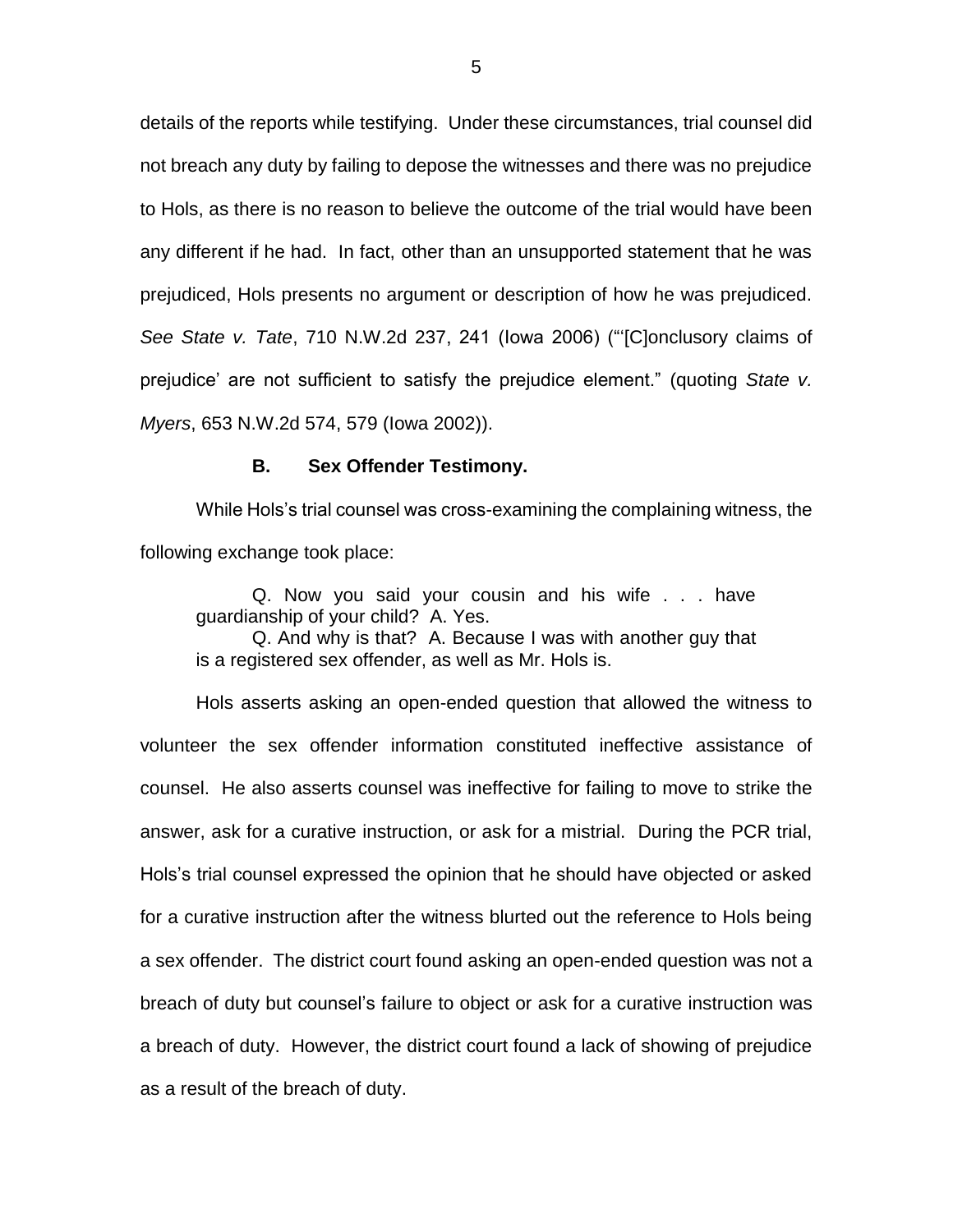details of the reports while testifying. Under these circumstances, trial counsel did not breach any duty by failing to depose the witnesses and there was no prejudice to Hols, as there is no reason to believe the outcome of the trial would have been any different if he had. In fact, other than an unsupported statement that he was prejudiced, Hols presents no argument or description of how he was prejudiced. *See State v. Tate*, 710 N.W.2d 237, 241 (Iowa 2006) ("'[C]onclusory claims of prejudice' are not sufficient to satisfy the prejudice element." (quoting *State v. Myers*, 653 N.W.2d 574, 579 (Iowa 2002)).

#### **B. Sex Offender Testimony.**

While Hols's trial counsel was cross-examining the complaining witness, the following exchange took place:

Q. Now you said your cousin and his wife . . . have guardianship of your child? A. Yes.

Q. And why is that? A. Because I was with another guy that is a registered sex offender, as well as Mr. Hols is.

Hols asserts asking an open-ended question that allowed the witness to volunteer the sex offender information constituted ineffective assistance of counsel. He also asserts counsel was ineffective for failing to move to strike the answer, ask for a curative instruction, or ask for a mistrial. During the PCR trial, Hols's trial counsel expressed the opinion that he should have objected or asked for a curative instruction after the witness blurted out the reference to Hols being a sex offender. The district court found asking an open-ended question was not a breach of duty but counsel's failure to object or ask for a curative instruction was a breach of duty. However, the district court found a lack of showing of prejudice as a result of the breach of duty.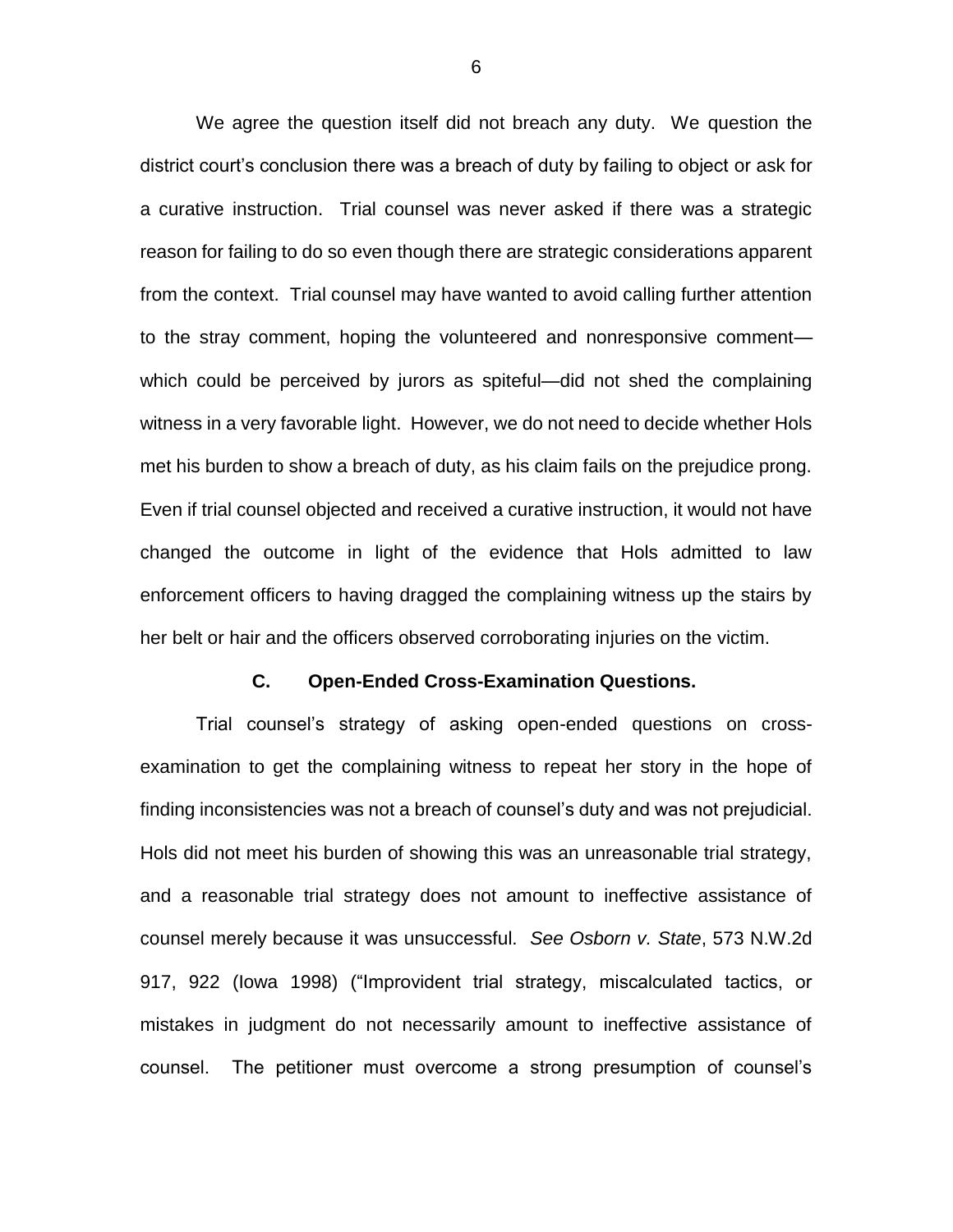We agree the question itself did not breach any duty. We question the district court's conclusion there was a breach of duty by failing to object or ask for a curative instruction. Trial counsel was never asked if there was a strategic reason for failing to do so even though there are strategic considerations apparent from the context. Trial counsel may have wanted to avoid calling further attention to the stray comment, hoping the volunteered and nonresponsive comment which could be perceived by jurors as spiteful—did not shed the complaining witness in a very favorable light. However, we do not need to decide whether Hols met his burden to show a breach of duty, as his claim fails on the prejudice prong. Even if trial counsel objected and received a curative instruction, it would not have changed the outcome in light of the evidence that Hols admitted to law enforcement officers to having dragged the complaining witness up the stairs by her belt or hair and the officers observed corroborating injuries on the victim.

### **C. Open-Ended Cross-Examination Questions.**

Trial counsel's strategy of asking open-ended questions on crossexamination to get the complaining witness to repeat her story in the hope of finding inconsistencies was not a breach of counsel's duty and was not prejudicial. Hols did not meet his burden of showing this was an unreasonable trial strategy, and a reasonable trial strategy does not amount to ineffective assistance of counsel merely because it was unsuccessful. *See Osborn v. State*, 573 N.W.2d 917, 922 (Iowa 1998) ("Improvident trial strategy, miscalculated tactics, or mistakes in judgment do not necessarily amount to ineffective assistance of counsel. The petitioner must overcome a strong presumption of counsel's

6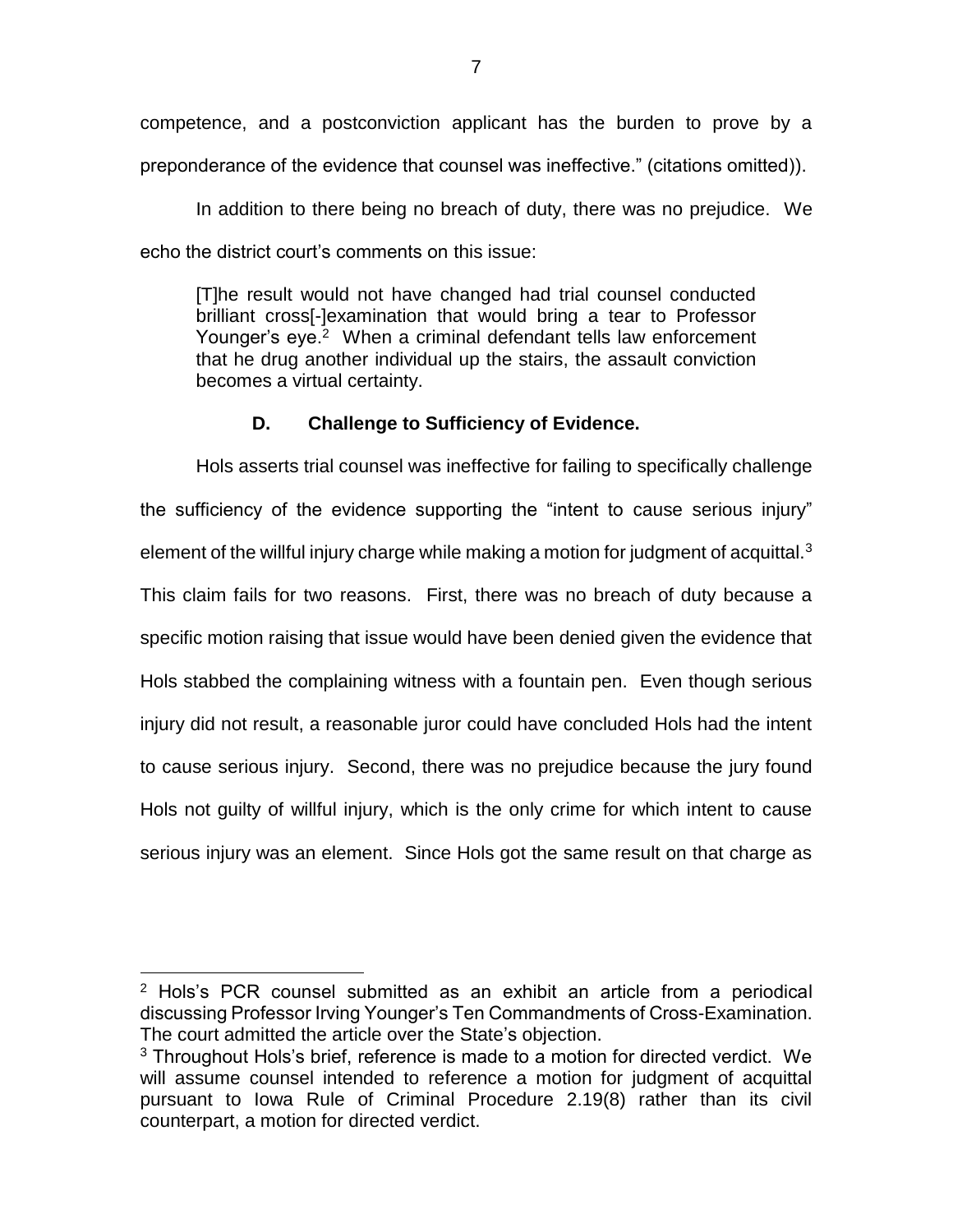competence, and a postconviction applicant has the burden to prove by a preponderance of the evidence that counsel was ineffective." (citations omitted)).

In addition to there being no breach of duty, there was no prejudice. We echo the district court's comments on this issue:

[T]he result would not have changed had trial counsel conducted brilliant cross[-]examination that would bring a tear to Professor Younger's eye.<sup>2</sup> When a criminal defendant tells law enforcement that he drug another individual up the stairs, the assault conviction becomes a virtual certainty.

# **D. Challenge to Sufficiency of Evidence.**

Hols asserts trial counsel was ineffective for failing to specifically challenge the sufficiency of the evidence supporting the "intent to cause serious injury" element of the willful injury charge while making a motion for judgment of acquittal. $3$ This claim fails for two reasons. First, there was no breach of duty because a specific motion raising that issue would have been denied given the evidence that Hols stabbed the complaining witness with a fountain pen. Even though serious injury did not result, a reasonable juror could have concluded Hols had the intent to cause serious injury. Second, there was no prejudice because the jury found Hols not guilty of willful injury, which is the only crime for which intent to cause serious injury was an element. Since Hols got the same result on that charge as

 $\overline{a}$ 

<sup>&</sup>lt;sup>2</sup> Hols's PCR counsel submitted as an exhibit an article from a periodical discussing Professor Irving Younger's Ten Commandments of Cross-Examination. The court admitted the article over the State's objection.

 $3$  Throughout Hols's brief, reference is made to a motion for directed verdict. We will assume counsel intended to reference a motion for judgment of acquittal pursuant to Iowa Rule of Criminal Procedure 2.19(8) rather than its civil counterpart, a motion for directed verdict.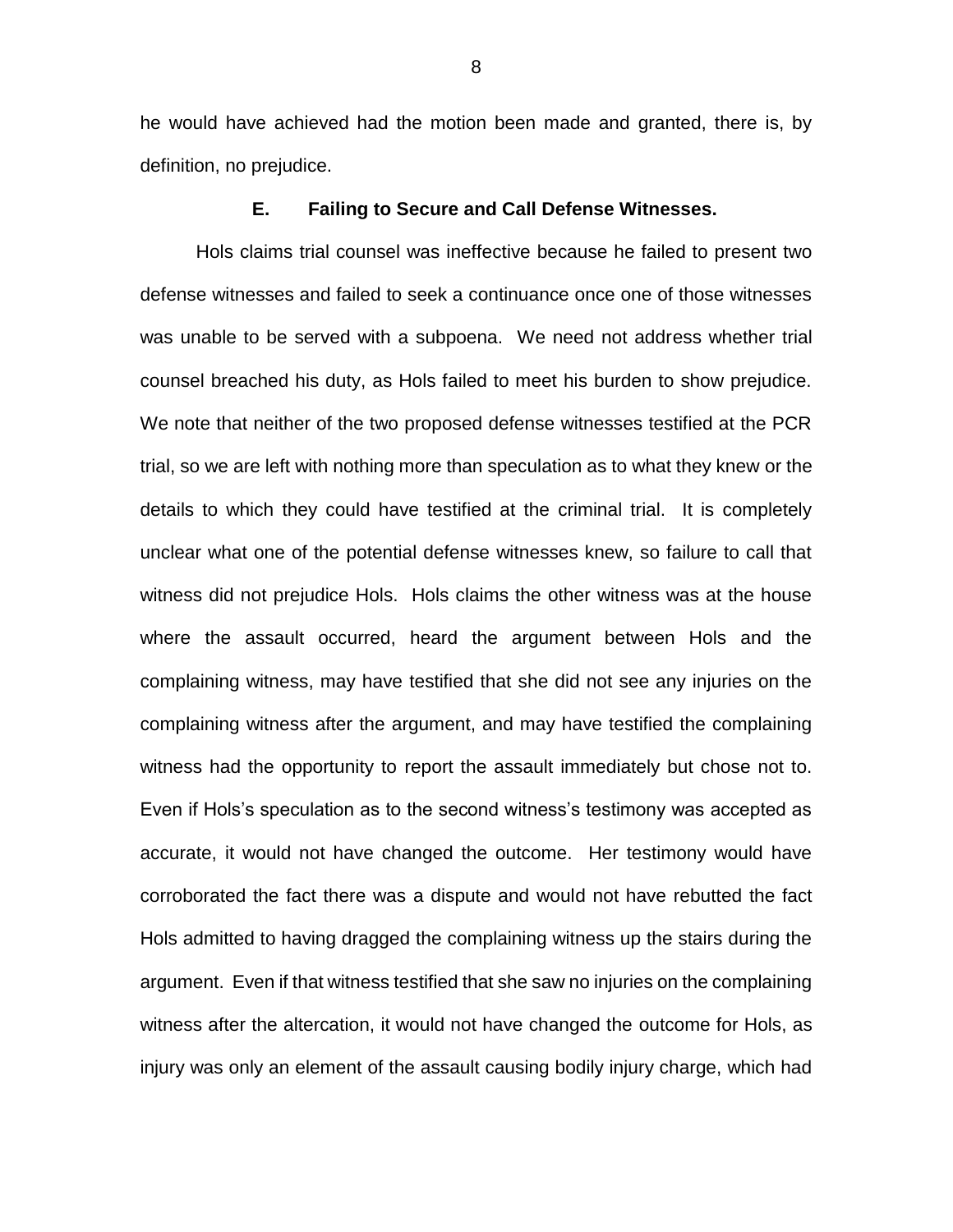he would have achieved had the motion been made and granted, there is, by definition, no prejudice.

#### **E. Failing to Secure and Call Defense Witnesses.**

Hols claims trial counsel was ineffective because he failed to present two defense witnesses and failed to seek a continuance once one of those witnesses was unable to be served with a subpoena. We need not address whether trial counsel breached his duty, as Hols failed to meet his burden to show prejudice. We note that neither of the two proposed defense witnesses testified at the PCR trial, so we are left with nothing more than speculation as to what they knew or the details to which they could have testified at the criminal trial. It is completely unclear what one of the potential defense witnesses knew, so failure to call that witness did not prejudice Hols. Hols claims the other witness was at the house where the assault occurred, heard the argument between Hols and the complaining witness, may have testified that she did not see any injuries on the complaining witness after the argument, and may have testified the complaining witness had the opportunity to report the assault immediately but chose not to. Even if Hols's speculation as to the second witness's testimony was accepted as accurate, it would not have changed the outcome. Her testimony would have corroborated the fact there was a dispute and would not have rebutted the fact Hols admitted to having dragged the complaining witness up the stairs during the argument. Even if that witness testified that she saw no injuries on the complaining witness after the altercation, it would not have changed the outcome for Hols, as injury was only an element of the assault causing bodily injury charge, which had